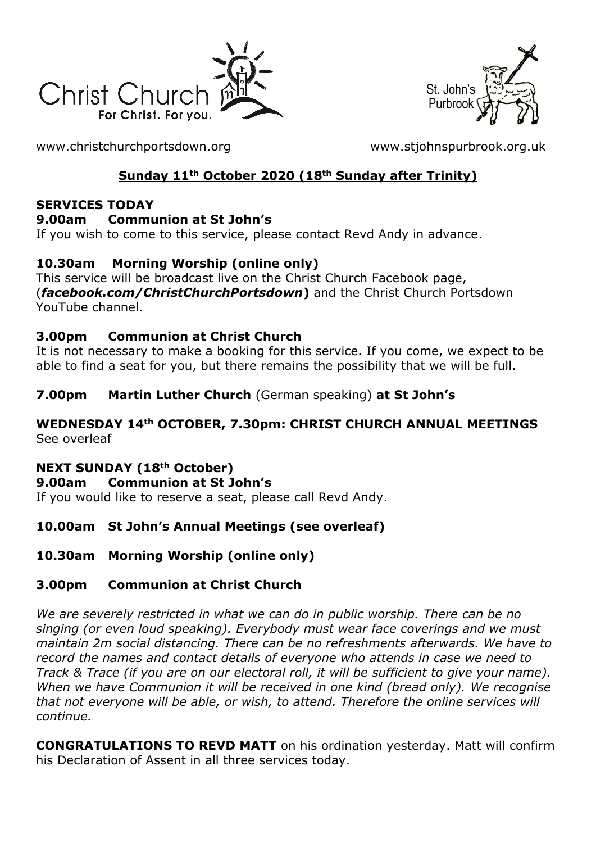



[www.christchurchportsdown.org](http://www.christchurchportsdown.org/) [www.stjohnspurbrook.org.uk](http://www.stjohnspurbrook.org.uk/)

# **Sunday 11th October 2020 (18th Sunday after Trinity)**

#### **SERVICES TODAY**

#### **9.00am Communion at St John's**

If you wish to come to this service, please contact Revd Andy in advance.

## **10.30am Morning Worship (online only)**

This service will be broadcast live on the Christ Church Facebook page, (*facebook.com/ChristChurchPortsdown***)** and the Christ Church Portsdown YouTube channel.

### **3.00pm Communion at Christ Church**

It is not necessary to make a booking for this service. If you come, we expect to be able to find a seat for you, but there remains the possibility that we will be full.

## **7.00pm Martin Luther Church** (German speaking) **at St John's**

#### **WEDNESDAY 14th OCTOBER, 7.30pm: CHRIST CHURCH ANNUAL MEETINGS** See overleaf

### **NEXT SUNDAY (18th October)**

**9.00am Communion at St John's**

If you would like to reserve a seat, please call Revd Andy.

## **10.00am St John's Annual Meetings (see overleaf)**

### **10.30am Morning Worship (online only)**

### **3.00pm Communion at Christ Church**

*We are severely restricted in what we can do in public worship. There can be no singing (or even loud speaking). Everybody must wear face coverings and we must maintain 2m social distancing. There can be no refreshments afterwards. We have to record the names and contact details of everyone who attends in case we need to Track & Trace (if you are on our electoral roll, it will be sufficient to give your name). When we have Communion it will be received in one kind (bread only). We recognise that not everyone will be able, or wish, to attend. Therefore the online services will continue.*

**CONGRATULATIONS TO REVD MATT** on his ordination yesterday. Matt will confirm his Declaration of Assent in all three services today.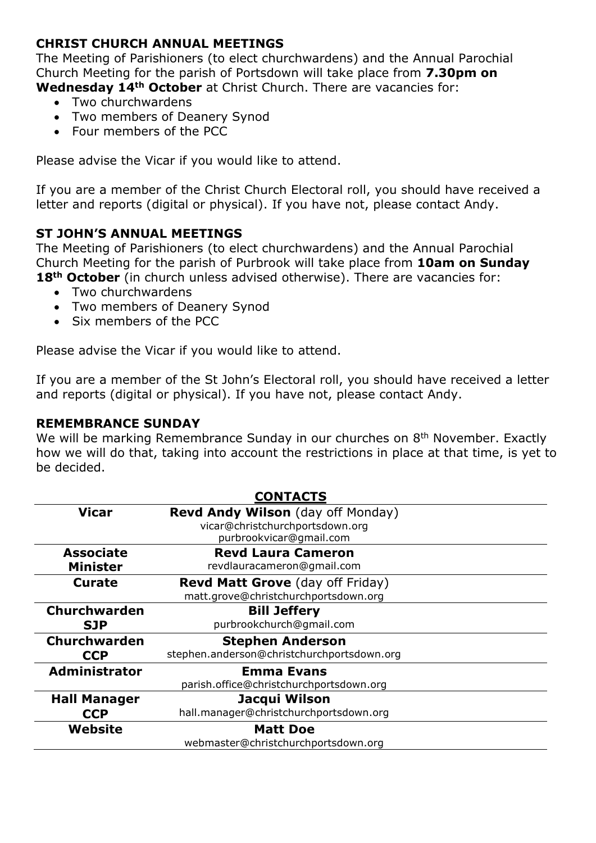#### **CHRIST CHURCH ANNUAL MEETINGS**

The Meeting of Parishioners (to elect churchwardens) and the Annual Parochial Church Meeting for the parish of Portsdown will take place from **7.30pm on Wednesday 14th October** at Christ Church. There are vacancies for:

- Two churchwardens
- Two members of Deanery Synod
- Four members of the PCC

Please advise the Vicar if you would like to attend.

If you are a member of the Christ Church Electoral roll, you should have received a letter and reports (digital or physical). If you have not, please contact Andy.

#### **ST JOHN'S ANNUAL MEETINGS**

The Meeting of Parishioners (to elect churchwardens) and the Annual Parochial Church Meeting for the parish of Purbrook will take place from **10am on Sunday**  18<sup>th</sup> October (in church unless advised otherwise). There are vacancies for:

- Two churchwardens
- Two members of Deanery Synod
- Six members of the PCC

Please advise the Vicar if you would like to attend.

If you are a member of the St John's Electoral roll, you should have received a letter and reports (digital or physical). If you have not, please contact Andy.

#### **REMEMBRANCE SUNDAY**

We will be marking Remembrance Sunday in our churches on 8<sup>th</sup> November. Exactly how we will do that, taking into account the restrictions in place at that time, is yet to be decided.

| <b>CONTACTS</b>      |                                            |
|----------------------|--------------------------------------------|
| <b>Vicar</b>         | <b>Revd Andy Wilson</b> (day off Monday)   |
|                      | vicar@christchurchportsdown.org            |
|                      | purbrookvicar@gmail.com                    |
| <b>Associate</b>     | <b>Revd Laura Cameron</b>                  |
| <b>Minister</b>      | revdlauracameron@gmail.com                 |
| <b>Curate</b>        | <b>Revd Matt Grove</b> (day off Friday)    |
|                      | matt.grove@christchurchportsdown.org       |
| <b>Churchwarden</b>  | <b>Bill Jeffery</b>                        |
| <b>SJP</b>           | purbrookchurch@gmail.com                   |
| Churchwarden         | <b>Stephen Anderson</b>                    |
| <b>CCP</b>           | stephen.anderson@christchurchportsdown.org |
| <b>Administrator</b> | <b>Emma Evans</b>                          |
|                      | parish.office@christchurchportsdown.org    |
| <b>Hall Manager</b>  | Jacqui Wilson                              |
| <b>CCP</b>           | hall.manager@christchurchportsdown.org     |
| Website              | <b>Matt Doe</b>                            |
|                      | webmaster@christchurchportsdown.org        |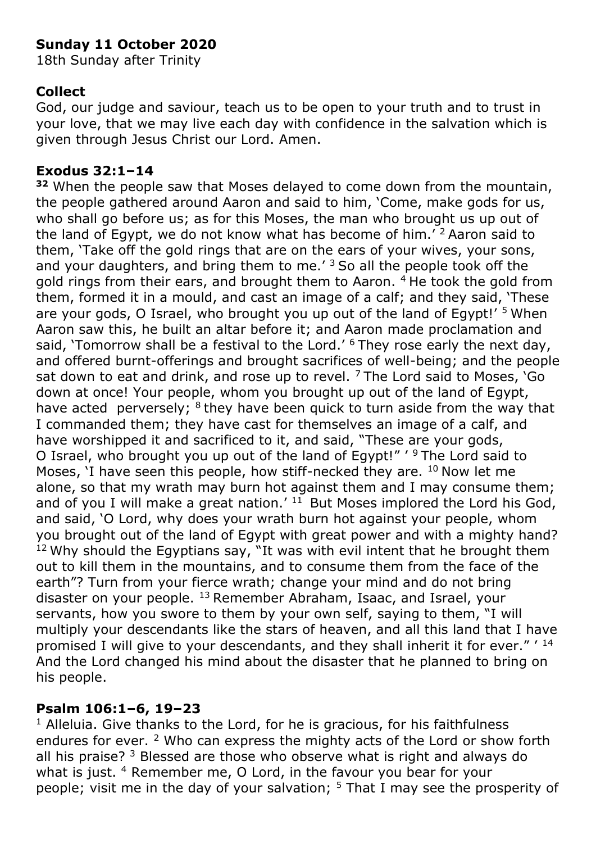# **Sunday 11 October 2020**

18th Sunday after Trinity

### **Collect**

God, our judge and saviour, teach us to be open to your truth and to trust in your love, that we may live each day with confidence in the salvation which is given through Jesus Christ our Lord. Amen.

#### **Exodus 32:1–14**

**<sup>32</sup>** When the people saw that Moses delayed to come down from the mountain, the people gathered around Aaron and said to him, 'Come, make gods for us, who shall go before us; as for this Moses, the man who brought us up out of the land of Egypt, we do not know what has become of him.<sup>' 2</sup> Aaron said to them, 'Take off the gold rings that are on the ears of your wives, your sons, and your daughters, and bring them to me.<sup> $3$ </sup> So all the people took off the gold rings from their ears, and brought them to Aaron.<sup>4</sup> He took the gold from them, formed it in a mould, and cast an image of a calf; and they said, 'These are your gods, O Israel, who brought you up out of the land of Egypt!' <sup>5</sup> When Aaron saw this, he built an altar before it; and Aaron made proclamation and said, 'Tomorrow shall be a festival to the Lord.' <sup>6</sup> They rose early the next day, and offered burnt-offerings and brought sacrifices of well-being; and the people sat down to eat and drink, and rose up to revel.  $7$  The Lord said to Moses, 'Go down at once! Your people, whom you brought up out of the land of Egypt, have acted perversely; <sup>8</sup> they have been quick to turn aside from the way that I commanded them; they have cast for themselves an image of a calf, and have worshipped it and sacrificed to it, and said, "These are your gods, O Israel, who brought you up out of the land of Egypt!" ' <sup>9</sup>The Lord said to Moses, 'I have seen this people, how stiff-necked they are.  $10$  Now let me alone, so that my wrath may burn hot against them and I may consume them; and of you I will make a great nation.'  $11$  But Moses implored the Lord his God, and said, 'O Lord, why does your wrath burn hot against your people, whom you brought out of the land of Egypt with great power and with a mighty hand?  $12$  Why should the Egyptians say, "It was with evil intent that he brought them out to kill them in the mountains, and to consume them from the face of the earth"? Turn from your fierce wrath; change your mind and do not bring disaster on your people.  $^{13}$  Remember Abraham, Isaac, and Israel, your servants, how you swore to them by your own self, saying to them, "I will multiply your descendants like the stars of heaven, and all this land that I have promised I will give to your descendants, and they shall inherit it for ever." ' <sup>14</sup> And the Lord changed his mind about the disaster that he planned to bring on his people.

### **Psalm 106:1–6, 19–23**

 $1$  Alleluia. Give thanks to the Lord, for he is gracious, for his faithfulness endures for ever. <sup>2</sup> Who can express the mighty acts of the Lord or show forth all his praise?  $3$  Blessed are those who observe what is right and always do what is just. <sup>4</sup> Remember me, O Lord, in the favour you bear for your people; visit me in the day of your salvation;  $5$  That I may see the prosperity of